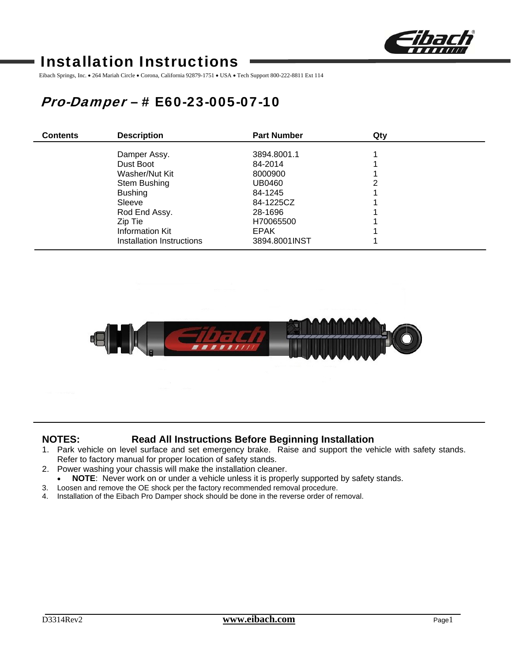

# Installation Instructions

Eibach Springs, Inc. • 264 Mariah Circle • Corona, California 92879-1751 • USA • Tech Support 800-222-8811 Ext 114

# Pro-Damper – # E60-23-005-07-10

| <b>Contents</b> | <b>Description</b>        | <b>Part Number</b> | Qty |  |
|-----------------|---------------------------|--------------------|-----|--|
|                 | Damper Assy.              | 3894.8001.1        |     |  |
|                 | Dust Boot                 | 84-2014            |     |  |
|                 | Washer/Nut Kit            | 8000900            |     |  |
|                 | Stem Bushing              | UB0460             | 2   |  |
|                 | <b>Bushing</b>            | 84-1245            |     |  |
|                 | Sleeve                    | 84-1225CZ          |     |  |
|                 | Rod End Assy.             | 28-1696            |     |  |
|                 | Zip Tie                   | H70065500          |     |  |
|                 | <b>Information Kit</b>    | <b>EPAK</b>        |     |  |
|                 | Installation Instructions | 3894.8001INST      |     |  |



## **NOTES: Read All Instructions Before Beginning Installation**

- 1. Park vehicle on level surface and set emergency brake. Raise and support the vehicle with safety stands. Refer to factory manual for proper location of safety stands.
- 2. Power washing your chassis will make the installation cleaner.
- **NOTE:** Never work on or under a vehicle unless it is properly supported by safety stands.
- 3. Loosen and remove the OE shock per the factory recommended removal procedure.
- 4. Installation of the Eibach Pro Damper shock should be done in the reverse order of removal.